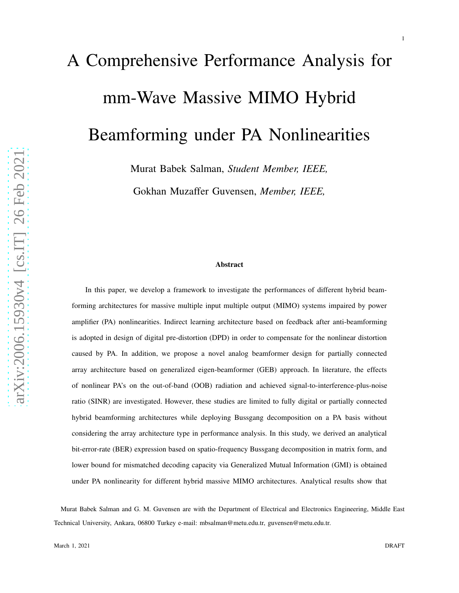# A Comprehensive Performance Analysis for mm-Wave Massive MIMO Hybrid Beamforming under PA Nonlinearities

Murat Babek Salman, *Student Member, IEEE,*

Gokhan Muzaffer Guvensen, *Member, IEEE,*

#### Abstract

In this paper, we develop a framework to investigate the performances of different hybrid beamforming architectures for massive multiple input multiple output (MIMO) systems impaired by power amplifier (PA) nonlinearities. Indirect learning architecture based on feedback after anti-beamforming is adopted in design of digital pre-distortion (DPD) in order to compensate for the nonlinear distortion caused by PA. In addition, we propose a novel analog beamformer design for partially connected array architecture based on generalized eigen-beamformer (GEB) approach. In literature, the effects of nonlinear PA's on the out-of-band (OOB) radiation and achieved signal-to-interference-plus-noise ratio (SINR) are investigated. However, these studies are limited to fully digital or partially connected hybrid beamforming architectures while deploying Bussgang decomposition on a PA basis without considering the array architecture type in performance analysis. In this study, we derived an analytical bit-error-rate (BER) expression based on spatio-frequency Bussgang decomposition in matrix form, and lower bound for mismatched decoding capacity via Generalized Mutual Information (GMI) is obtained under PA nonlinearity for different hybrid massive MIMO architectures. Analytical results show that

Murat Babek Salman and G. M. Guvensen are with the Department of Electrical and Electronics Engineering, Middle East Technical University, Ankara, 06800 Turkey e-mail: mbsalman@metu.edu.tr, guvensen@metu.edu.tr.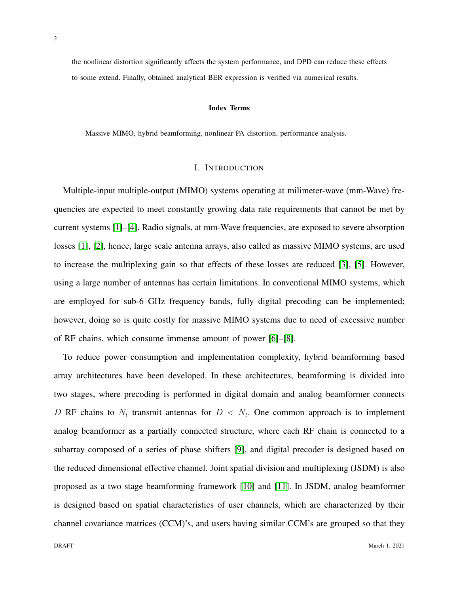the nonlinear distortion significantly affects the system performance, and DPD can reduce these effects to some extend. Finally, obtained analytical BER expression is verified via numerical results.

#### Index Terms

Massive MIMO, hybrid beamforming, nonlinear PA distortion, performance analysis.

#### I. INTRODUCTION

Multiple-input multiple-output (MIMO) systems operating at milimeter-wave (mm-Wave) frequencies are expected to meet constantly growing data rate requirements that cannot be met by current systems [\[1\]](#page-27-0)–[\[4\]](#page-27-1). Radio signals, at mm-Wave frequencies, are exposed to severe absorption losses [\[1\]](#page-27-0), [\[2\]](#page-27-2), hence, large scale antenna arrays, also called as massive MIMO systems, are used to increase the multiplexing gain so that effects of these losses are reduced [\[3\]](#page-27-3), [\[5\]](#page-27-4). However, using a large number of antennas has certain limitations. In conventional MIMO systems, which are employed for sub-6 GHz frequency bands, fully digital precoding can be implemented; however, doing so is quite costly for massive MIMO systems due to need of excessive number of RF chains, which consume immense amount of power [\[6\]](#page-28-0)–[\[8\]](#page-28-1).

To reduce power consumption and implementation complexity, hybrid beamforming based array architectures have been developed. In these architectures, beamforming is divided into two stages, where precoding is performed in digital domain and analog beamformer connects D RF chains to  $N_t$  transmit antennas for  $D < N_t$ . One common approach is to implement analog beamformer as a partially connected structure, where each RF chain is connected to a subarray composed of a series of phase shifters [\[9\]](#page-28-2), and digital precoder is designed based on the reduced dimensional effective channel. Joint spatial division and multiplexing (JSDM) is also proposed as a two stage beamforming framework [\[10\]](#page-28-3) and [\[11\]](#page-28-4). In JSDM, analog beamformer is designed based on spatial characteristics of user channels, which are characterized by their channel covariance matrices (CCM)'s, and users having similar CCM's are grouped so that they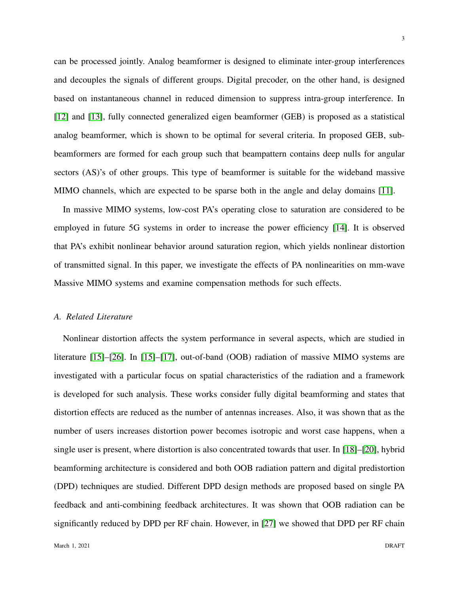can be processed jointly. Analog beamformer is designed to eliminate inter-group interferences and decouples the signals of different groups. Digital precoder, on the other hand, is designed based on instantaneous channel in reduced dimension to suppress intra-group interference. In [\[12\]](#page-28-5) and [\[13\]](#page-28-6), fully connected generalized eigen beamformer (GEB) is proposed as a statistical analog beamformer, which is shown to be optimal for several criteria. In proposed GEB, subbeamformers are formed for each group such that beampattern contains deep nulls for angular sectors (AS)'s of other groups. This type of beamformer is suitable for the wideband massive MIMO channels, which are expected to be sparse both in the angle and delay domains [\[11\]](#page-28-4).

In massive MIMO systems, low-cost PA's operating close to saturation are considered to be employed in future 5G systems in order to increase the power efficiency [\[14\]](#page-28-7). It is observed that PA's exhibit nonlinear behavior around saturation region, which yields nonlinear distortion of transmitted signal. In this paper, we investigate the effects of PA nonlinearities on mm-wave Massive MIMO systems and examine compensation methods for such effects.

# *A. Related Literature*

Nonlinear distortion affects the system performance in several aspects, which are studied in literature [\[15\]](#page-28-8)–[\[26\]](#page-29-0). In [\[15\]](#page-28-8)–[\[17\]](#page-28-9), out-of-band (OOB) radiation of massive MIMO systems are investigated with a particular focus on spatial characteristics of the radiation and a framework is developed for such analysis. These works consider fully digital beamforming and states that distortion effects are reduced as the number of antennas increases. Also, it was shown that as the number of users increases distortion power becomes isotropic and worst case happens, when a single user is present, where distortion is also concentrated towards that user. In [\[18\]](#page-28-10)–[\[20\]](#page-28-11), hybrid beamforming architecture is considered and both OOB radiation pattern and digital predistortion (DPD) techniques are studied. Different DPD design methods are proposed based on single PA feedback and anti-combining feedback architectures. It was shown that OOB radiation can be significantly reduced by DPD per RF chain. However, in [\[27\]](#page-29-1) we showed that DPD per RF chain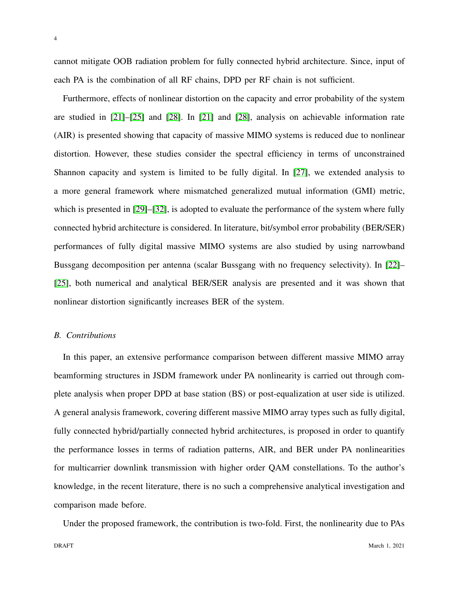cannot mitigate OOB radiation problem for fully connected hybrid architecture. Since, input of each PA is the combination of all RF chains, DPD per RF chain is not sufficient.

Furthermore, effects of nonlinear distortion on the capacity and error probability of the system are studied in [\[21\]](#page-28-12)–[\[25\]](#page-29-2) and [\[28\]](#page-29-3). In [\[21\]](#page-28-12) and [\[28\]](#page-29-3), analysis on achievable information rate (AIR) is presented showing that capacity of massive MIMO systems is reduced due to nonlinear distortion. However, these studies consider the spectral efficiency in terms of unconstrained Shannon capacity and system is limited to be fully digital. In [\[27\]](#page-29-1), we extended analysis to a more general framework where mismatched generalized mutual information (GMI) metric, which is presented in [\[29\]](#page-29-4)–[\[32\]](#page-29-5), is adopted to evaluate the performance of the system where fully connected hybrid architecture is considered. In literature, bit/symbol error probability (BER/SER) performances of fully digital massive MIMO systems are also studied by using narrowband Bussgang decomposition per antenna (scalar Bussgang with no frequency selectivity). In [\[22\]](#page-29-6)– [\[25\]](#page-29-2), both numerical and analytical BER/SER analysis are presented and it was shown that nonlinear distortion significantly increases BER of the system.

# *B. Contributions*

In this paper, an extensive performance comparison between different massive MIMO array beamforming structures in JSDM framework under PA nonlinearity is carried out through complete analysis when proper DPD at base station (BS) or post-equalization at user side is utilized. A general analysis framework, covering different massive MIMO array types such as fully digital, fully connected hybrid/partially connected hybrid architectures, is proposed in order to quantify the performance losses in terms of radiation patterns, AIR, and BER under PA nonlinearities for multicarrier downlink transmission with higher order QAM constellations. To the author's knowledge, in the recent literature, there is no such a comprehensive analytical investigation and comparison made before.

Under the proposed framework, the contribution is two-fold. First, the nonlinearity due to PAs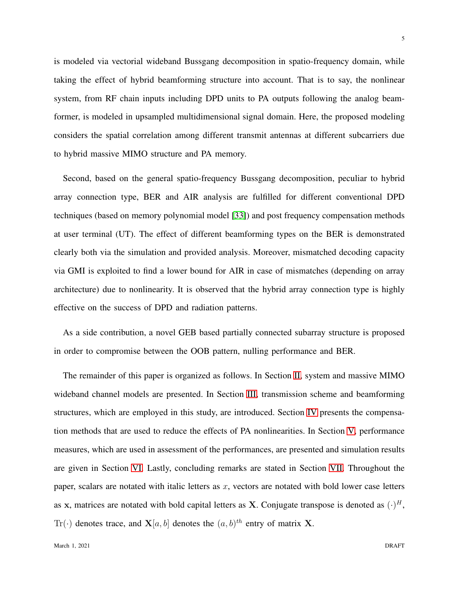is modeled via vectorial wideband Bussgang decomposition in spatio-frequency domain, while taking the effect of hybrid beamforming structure into account. That is to say, the nonlinear system, from RF chain inputs including DPD units to PA outputs following the analog beamformer, is modeled in upsampled multidimensional signal domain. Here, the proposed modeling considers the spatial correlation among different transmit antennas at different subcarriers due to hybrid massive MIMO structure and PA memory.

Second, based on the general spatio-frequency Bussgang decomposition, peculiar to hybrid array connection type, BER and AIR analysis are fulfilled for different conventional DPD techniques (based on memory polynomial model [\[33\]](#page-29-7)) and post frequency compensation methods at user terminal (UT). The effect of different beamforming types on the BER is demonstrated clearly both via the simulation and provided analysis. Moreover, mismatched decoding capacity via GMI is exploited to find a lower bound for AIR in case of mismatches (depending on array architecture) due to nonlinearity. It is observed that the hybrid array connection type is highly effective on the success of DPD and radiation patterns.

As a side contribution, a novel GEB based partially connected subarray structure is proposed in order to compromise between the OOB pattern, nulling performance and BER.

The remainder of this paper is organized as follows. In Section [II,](#page-5-0) system and massive MIMO wideband channel models are presented. In Section [III,](#page-6-0) transmission scheme and beamforming structures, which are employed in this study, are introduced. Section [IV](#page-11-0) presents the compensation methods that are used to reduce the effects of PA nonlinearities. In Section [V,](#page-14-0) performance measures, which are used in assessment of the performances, are presented and simulation results are given in Section [VI.](#page-19-0) Lastly, concluding remarks are stated in Section [VII.](#page-26-0) Throughout the paper, scalars are notated with italic letters as  $x$ , vectors are notated with bold lower case letters as x, matrices are notated with bold capital letters as X. Conjugate transpose is denoted as  $(\cdot)^H$ , Tr(·) denotes trace, and  $X[a, b]$  denotes the  $(a, b)^{th}$  entry of matrix X.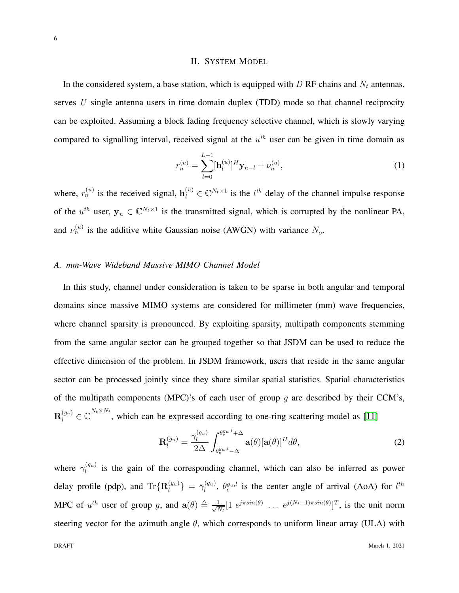## II. SYSTEM MODEL

<span id="page-5-0"></span>In the considered system, a base station, which is equipped with  $D$  RF chains and  $N_t$  antennas, serves  $U$  single antenna users in time domain duplex (TDD) mode so that channel reciprocity can be exploited. Assuming a block fading frequency selective channel, which is slowly varying compared to signalling interval, received signal at the  $u^{th}$  user can be given in time domain as

$$
r_n^{(u)} = \sum_{l=0}^{L-1} [\mathbf{h}_l^{(u)}]^H \mathbf{y}_{n-l} + \nu_n^{(u)},
$$
\n(1)

where,  $r_n^{(u)}$  is the received signal,  $\mathbf{h}_l^{(u)} \in \mathbb{C}^{N_t \times 1}$  is the  $l^{th}$  delay of the channel impulse response of the  $u^{th}$  user,  $y_n \in \mathbb{C}^{N_t \times 1}$  is the transmitted signal, which is corrupted by the nonlinear PA, and  $\nu_n^{(u)}$  is the additive white Gaussian noise (AWGN) with variance  $N_o$ .

## *A. mm-Wave Wideband Massive MIMO Channel Model*

In this study, channel under consideration is taken to be sparse in both angular and temporal domains since massive MIMO systems are considered for millimeter (mm) wave frequencies, where channel sparsity is pronounced. By exploiting sparsity, multipath components stemming from the same angular sector can be grouped together so that JSDM can be used to reduce the effective dimension of the problem. In JSDM framework, users that reside in the same angular sector can be processed jointly since they share similar spatial statistics. Spatial characteristics of the multipath components (MPC)'s of each user of group  $g$  are described by their CCM's,  $\mathbf{R}_l^{(g_u)} \in \mathbb{C}^{N_t \times N_t}$ , which can be expressed according to one-ring scattering model as [\[11\]](#page-28-4)

$$
\mathbf{R}_{l}^{(g_u)} = \frac{\gamma_{l}^{(g_u)}}{2\Delta} \int_{\theta_e^{gu,l} - \Delta}^{\theta_e^{gu,l} + \Delta} \mathbf{a}(\theta) [\mathbf{a}(\theta)]^H d\theta,
$$
\n(2)

where  $\gamma_l^{(g_u)}$  $\ell_i^{(g_u)}$  is the gain of the corresponding channel, which can also be inferred as power delay profile (pdp), and  $\text{Tr}\{\mathbf{R}_{l}^{(g_u)}\}$  $\{ \begin{aligned} \rho_{u}^{(g_{u})} \} \; = \; \gamma_{l}^{(g_{u})} \end{aligned}$  $\theta_c^{(g_u)}$ ,  $\theta_c^{g_u,l}$  is the center angle of arrival (AoA) for  $l^{th}$ MPC of  $u^{th}$  user of group g, and  $a(\theta) \triangleq \frac{1}{\sqrt{2}}$  $\frac{1}{N_t}[1 \; e^{j\pi sin(\theta)} \; \ldots \; e^{j(N_t-1)\pi sin(\theta)}]^T$ , is the unit norm steering vector for the azimuth angle  $\theta$ , which corresponds to uniform linear array (ULA) with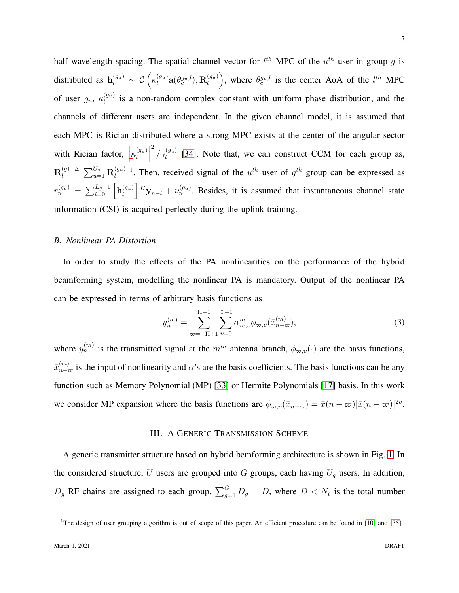half wavelength spacing. The spatial channel vector for  $l^{th}$  MPC of the  $u^{th}$  user in group g is distributed as  $h_l^{(g_u)} \sim \mathcal{C}\left(\kappa_l^{(g_u)}\right)$  $\mathbf{a}^{(g_u)}_{l}\mathbf{a}(\theta_c^{g_u,l}), \mathbf{R}_l^{(g_u)}$  $\left(\begin{array}{c} (g_u) \\ l \end{array}\right)$ , where  $\theta_c^{g_u,l}$  is the center AoA of the  $l^{th}$  MPC of user  $g_u$ ,  $\kappa_l^{(g_u)}$  $\ell_l^{(g_u)}$  is a non-random complex constant with uniform phase distribution, and the channels of different users are independent. In the given channel model, it is assumed that each MPC is Rician distributed where a strong MPC exists at the center of the angular sector with Rician factor,  $\vert$  $\kappa_l^{(g_u)}$ l  $2^{2}/\gamma_{l}^{(g_{u})}$  [\[34\]](#page-29-8). Note that, we can construct CCM for each group as,  $\mathbf{R}_l^{(g)} \triangleq \sum_{u=1}^{U_g} \mathbf{R}_l^{(g_u)}$  $\mu_l^{(g_u)}$ <sup>[1](#page-6-1)</sup>. Then, received signal of the  $u^{th}$  user of  $g^{th}$  group can be expressed as  $r_n^{(g_u)} \ = \ \sum_{l=0}^{L_g-1} \Big[ {\bf h}_l^{(g_u)}$  $\left[\begin{array}{c} \left(g_u\right) \\ l \end{array}\right]$   $H_{\mathbf{y}_{n-l}} + \nu_n^{(g_u)}$ . Besides, it is assumed that instantaneous channel state information (CSI) is acquired perfectly during the uplink training.

## *B. Nonlinear PA Distortion*

In order to study the effects of the PA nonlinearities on the performance of the hybrid beamforming system, modelling the nonlinear PA is mandatory. Output of the nonlinear PA can be expressed in terms of arbitrary basis functions as

$$
y_n^{(m)} = \sum_{\varpi=-\Pi+1}^{\Pi-1} \sum_{v=0}^{\Upsilon-1} \alpha_{\varpi,v}^m \phi_{\varpi,v}(\bar{x}_{n-\varpi}^{(m)}),
$$
 (3)

where  $y_n^{(m)}$  is the transmitted signal at the  $m^{th}$  antenna branch,  $\phi_{\varpi,\upsilon}(\cdot)$  are the basis functions,  $\bar{x}_{n-\infty}^{(m)}$  is the input of nonlinearity and  $\alpha$ 's are the basis coefficients. The basis functions can be any function such as Memory Polynomial (MP) [\[33\]](#page-29-7) or Hermite Polynomials [\[17\]](#page-28-9) basis. In this work we consider MP expansion where the basis functions are  $\phi_{\varpi,\upsilon}(\bar{x}_{n-\varpi}) = \bar{x}(n-\varpi)|\bar{x}(n-\varpi)|^{2\upsilon}$ .

## III. A GENERIC TRANSMISSION SCHEME

<span id="page-6-0"></span>A generic transmitter structure based on hybrid bemforming architecture is shown in Fig. [1.](#page-7-0) In the considered structure, U users are grouped into G groups, each having  $U_q$  users. In addition,  $D_g$  RF chains are assigned to each group,  $\sum_{g=1}^{G} D_g = D$ , where  $D < N_t$  is the total number

<span id="page-6-1"></span><sup>&</sup>lt;sup>1</sup>The design of user grouping algorithm is out of scope of this paper. An efficient procedure can be found in [\[10\]](#page-28-3) and [\[35\]](#page-29-9).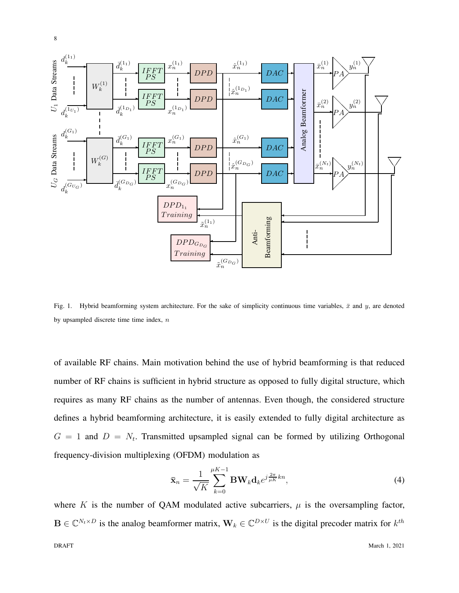

<span id="page-7-0"></span>Fig. 1. Hybrid beamforming system architecture. For the sake of simplicity continuous time variables,  $\bar{x}$  and y, are denoted by upsampled discrete time time index,  $n$ 

of available RF chains. Main motivation behind the use of hybrid beamforming is that reduced number of RF chains is sufficient in hybrid structure as opposed to fully digital structure, which requires as many RF chains as the number of antennas. Even though, the considered structure defines a hybrid beamforming architecture, it is easily extended to fully digital architecture as  $G = 1$  and  $D = N_t$ . Transmitted upsampled signal can be formed by utilizing Orthogonal frequency-division multiplexing (OFDM) modulation as

$$
\bar{\mathbf{x}}_n = \frac{1}{\sqrt{K}} \sum_{k=0}^{\mu K - 1} \mathbf{BW}_k \mathbf{d}_k e^{j \frac{2\pi}{\mu K} k n},\tag{4}
$$

where K is the number of QAM modulated active subcarriers,  $\mu$  is the oversampling factor,  $\mathbf{B} \in \mathbb{C}^{N_t \times D}$  is the analog beamformer matrix,  $\mathbf{W}_k \in \mathbb{C}^{D \times U}$  is the digital precoder matrix for  $k^{th}$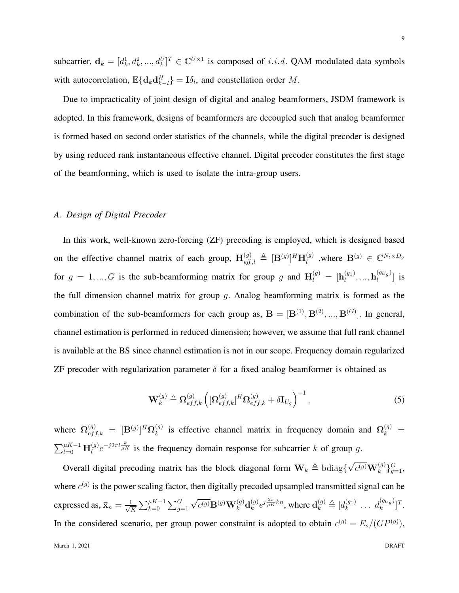subcarrier,  $\mathbf{d}_k = [d_k^1, d_k^2, ..., d_k^U]^T \in \mathbb{C}^{U \times 1}$  is composed of *i.i.d.* QAM modulated data symbols with autocorrelation,  $\mathbb{E}\{\mathbf{d}_k \mathbf{d}_{k-l}^H\} = \mathbf{I}\delta_l$ , and constellation order M.

Due to impracticality of joint design of digital and analog beamformers, JSDM framework is adopted. In this framework, designs of beamformers are decoupled such that analog beamformer is formed based on second order statistics of the channels, while the digital precoder is designed by using reduced rank instantaneous effective channel. Digital precoder constitutes the first stage of the beamforming, which is used to isolate the intra-group users.

# *A. Design of Digital Precoder*

In this work, well-known zero-forcing (ZF) precoding is employed, which is designed based on the effective channel matrix of each group,  $\mathbf{H}_{eff, l}^{(g)} \triangleq [\mathbf{B}^{(g)}]^H \mathbf{H}_{l}^{(g)}$  $\mathbf{R}_l^{(g)}$  , where  $\mathbf{B}^{(g)} \in \mathbb{C}^{N_t \times D_g}$ for  $g = 1, ..., G$  is the sub-beamforming matrix for group g and  $H_l^{(g)} = [\mathbf{h}_l^{(g_1)}]$  $\mathbf{h}_l^{(g_1)},...,\mathbf{h}_l^{(g_{U_g})}$  $\left[\begin{array}{c} \mathbf{y}U_g\\ l \end{array}\right]$  is the full dimension channel matrix for group  $g$ . Analog beamforming matrix is formed as the combination of the sub-beamformers for each group as,  $B = [B^{(1)}, B^{(2)}, ..., B^{(G)}]$ . In general, channel estimation is performed in reduced dimension; however, we assume that full rank channel is available at the BS since channel estimation is not in our scope. Frequency domain regularized ZF precoder with regularization parameter  $\delta$  for a fixed analog beamformer is obtained as

$$
\mathbf{W}_{k}^{(g)} \triangleq \mathbf{\Omega}_{eff,k}^{(g)} \left( [\mathbf{\Omega}_{eff,k}^{(g)}]^H \mathbf{\Omega}_{eff,k}^{(g)} + \delta \mathbf{I}_{U_g} \right)^{-1}, \tag{5}
$$

where  $\Omega_{eff,k}^{(g)} = [\mathbf{B}^{(g)}]^H \Omega_k^{(g)}$  $\mathbf{R}_{k}^{(g)}$  is effective channel matrix in frequency domain and  $\mathbf{\Omega}_{k}^{(g)}$  =  $\sum_{l=0}^{\mu K-1} \mathbf{H}^{(g)}_l$  $\int_{l}^{(g)} e^{-j2\pi l \frac{k}{\mu K}}$  is the frequency domain response for subcarrier k of group g.

Overall digital precoding matrix has the block diagonal form  $W_k \triangleq \text{bdiag}\{\sqrt{c^{(g)}}W_k^{(g)}\}_{g=1}^G$ , where  $c^{(g)}$  is the power scaling factor, then digitally precoded upsampled transmitted signal can be expressed as,  $\bar{\mathbf{x}}_n = \frac{1}{\sqrt{n}}$  $\frac{1}{K} \sum_{k=0}^{\mu K-1} \sum_{g=1}^G$  $\sqrt{\mathcal{C}^{(g)}} \mathbf{B}^{(g)} \mathbf{W}_k^{(g)} \mathbf{d}_k^{(g)}$  $\int_k^{(g)} e^{j\frac{2\pi}{\mu K}kn}$ , where  $\mathbf{d}_k^{(g)} \triangleq [d_k^{(g_1)}]$  $a_k^{(g_1)}$  ...  $d_k^{(g_{U_g})}$  ${k^{U g}}^T \big]^T.$ In the considered scenario, per group power constraint is adopted to obtain  $c^{(g)} = E_s/(GP^{(g)})$ ,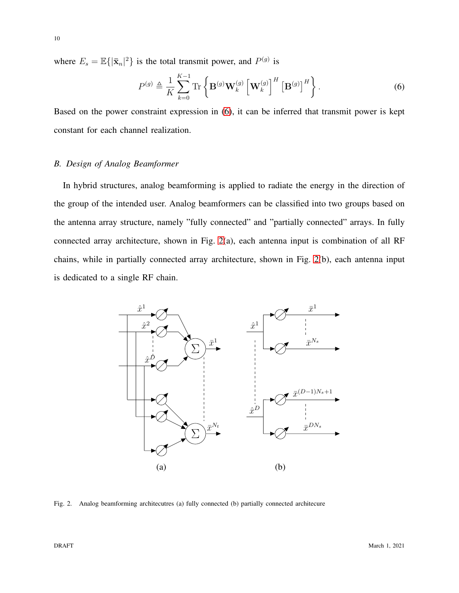where  $E_s = \mathbb{E}\{|\bar{\mathbf{x}}_n|^2\}$  is the total transmit power, and  $P^{(g)}$  is

<span id="page-9-0"></span>
$$
P^{(g)} \triangleq \frac{1}{K} \sum_{k=0}^{K-1} \text{Tr} \left\{ \mathbf{B}^{(g)} \mathbf{W}_k^{(g)} \left[ \mathbf{W}_k^{(g)} \right]^H \left[ \mathbf{B}^{(g)} \right]^H \right\}.
$$
 (6)

Based on the power constraint expression in [\(6\)](#page-9-0), it can be inferred that transmit power is kept constant for each channel realization.

## *B. Design of Analog Beamformer*

In hybrid structures, analog beamforming is applied to radiate the energy in the direction of the group of the intended user. Analog beamformers can be classified into two groups based on the antenna array structure, namely "fully connected" and "partially connected" arrays. In fully connected array architecture, shown in Fig. [2\(](#page-9-1)a), each antenna input is combination of all RF chains, while in partially connected array architecture, shown in Fig. [2\(](#page-9-1)b), each antenna input is dedicated to a single RF chain.



<span id="page-9-1"></span>Fig. 2. Analog beamforming architecutres (a) fully connected (b) partially connected architecure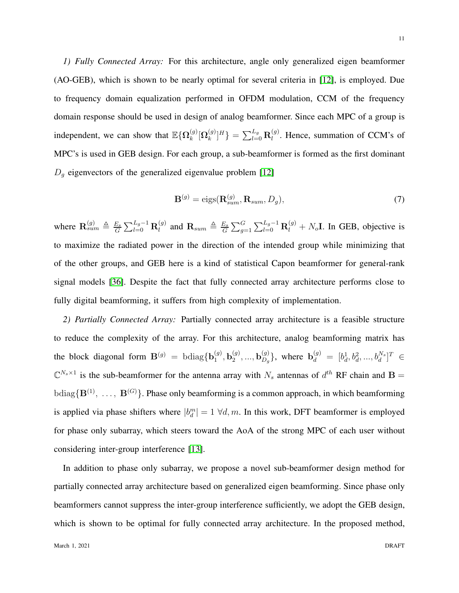*1) Fully Connected Array:* For this architecture, angle only generalized eigen beamformer (AO-GEB), which is shown to be nearly optimal for several criteria in [\[12\]](#page-28-5), is employed. Due to frequency domain equalization performed in OFDM modulation, CCM of the frequency domain response should be used in design of analog beamformer. Since each MPC of a group is independent, we can show that  $\mathbb{E}\{\Omega_k^{(g)}\}$  $_k^{(g)} [ \Omega_k^{(g)}$  $_{k}^{\left( g\right) }\mathbf{]}^{H}\}=\sum_{l=0}^{L_{g}}\mathbf{R}_{l}^{\left( g\right) }$  $\binom{g}{l}$ . Hence, summation of CCM's of MPC's is used in GEB design. For each group, a sub-beamformer is formed as the first dominant  $D_q$  eigenvectors of the generalized eigenvalue problem [\[12\]](#page-28-5)

$$
\mathbf{B}^{(g)} = \text{eigs}(\mathbf{R}_{sum}^{(g)}, \mathbf{R}_{sum}, D_g),\tag{7}
$$

where  $\mathbf{R}_{sum}^{(g)} \triangleq \frac{E_s}{G}$  $\frac{E_s}{G}\sum_{l=0}^{L_g-1} \mathbf{R}^{(g)}_l$  $l_l^{(g)}$  and  $\mathbf{R}_{sum} \triangleq \frac{E_s}{G}$  $\frac{E_s}{G} \sum_{g=1}^G \sum_{l=0}^{L_g-1} \mathbf{R}_l^{(g)} + N_o \mathbf{I}$ . In GEB, objective is to maximize the radiated power in the direction of the intended group while minimizing that of the other groups, and GEB here is a kind of statistical Capon beamformer for general-rank signal models [\[36\]](#page-29-10). Despite the fact that fully connected array architecture performs close to fully digital beamforming, it suffers from high complexity of implementation.

*2) Partially Connected Array:* Partially connected array architecture is a feasible structure to reduce the complexity of the array. For this architecture, analog beamforming matrix has the block diagonal form  $\mathbf{B}^{(g)}$  = bdiag $\{\mathbf{b}_1^{(g)}\}$  $\mathbf{h}_1^{(g)}, \mathbf{b}_2^{(g)}$  $\mathbf{b}_{2}^{(g)},...,\mathbf{b}_{D_{q}}^{(g)}$  $\{ \Phi_{D_g}^{(g)} \},$  where  $\mathbf{b}_d^{(g)} = [b_d^1, b_d^2, ..., b_d^{N_s}]^T \in \mathbb{R}$  $\mathbb{C}^{N_s \times 1}$  is the sub-beamformer for the antenna array with  $N_s$  antennas of  $d^{th}$  RF chain and B = bdiag $\{B^{(1)}, \ldots, B^{(G)}\}$ . Phase only beamforming is a common approach, in which beamforming is applied via phase shifters where  $|b_d^m| = 1 \ \forall d, m$ . In this work, DFT beamformer is employed for phase only subarray, which steers toward the AoA of the strong MPC of each user without considering inter-group interference [\[13\]](#page-28-6).

In addition to phase only subarray, we propose a novel sub-beamformer design method for partially connected array architecture based on generalized eigen beamforming. Since phase only beamformers cannot suppress the inter-group interference sufficiently, we adopt the GEB design, which is shown to be optimal for fully connected array architecture. In the proposed method,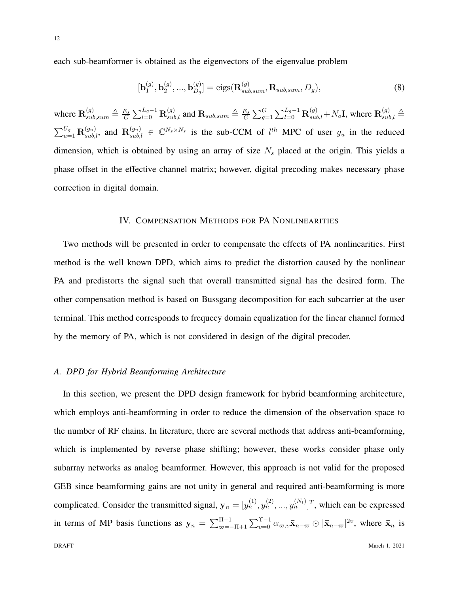each sub-beamformer is obtained as the eigenvectors of the eigenvalue problem

$$
[\mathbf{b}_1^{(g)}, \mathbf{b}_2^{(g)}, ..., \mathbf{b}_{D_g}^{(g)}] = \text{eigs}(\mathbf{R}_{sub,sum}^{(g)}, \mathbf{R}_{sub,sum}, D_g),
$$
(8)

where  $\mathbf{R}^{(g)}_{sub,sum} \triangleq \frac{E_s}{G}$  $\frac{E_s}{G}\sum_{l=0}^{L_g-1}\mathbf{R}_{sub,l}^{(g)}$  and  $\mathbf{R}_{sub,sum} \triangleq \frac{E_s}{G}$  $\frac{E_s}{G}\sum_{g=1}^G\sum_{l=0}^{L_g-1}\mathbf{R}^{(g)}_{sub,l}+N_o\mathbf{I}$ , where  $\mathbf{R}^{(g)}_{sub,l}\triangleq$  $\sum_{u=1}^{U_g} \mathbf{R}_{sub,l}^{(g_u)}$ , and  $\mathbf{R}_{sub,l}^{(g_u)} \in \mathbb{C}^{N_s \times N_s}$  is the sub-CCM of  $l^{th}$  MPC of user  $g_u$  in the reduced dimension, which is obtained by using an array of size  $N<sub>s</sub>$  placed at the origin. This yields a phase offset in the effective channel matrix; however, digital precoding makes necessary phase correction in digital domain.

#### IV. COMPENSATION METHODS FOR PA NONLINEARITIES

<span id="page-11-0"></span>Two methods will be presented in order to compensate the effects of PA nonlinearities. First method is the well known DPD, which aims to predict the distortion caused by the nonlinear PA and predistorts the signal such that overall transmitted signal has the desired form. The other compensation method is based on Bussgang decomposition for each subcarrier at the user terminal. This method corresponds to frequecy domain equalization for the linear channel formed by the memory of PA, which is not considered in design of the digital precoder.

## *A. DPD for Hybrid Beamforming Architecture*

In this section, we present the DPD design framework for hybrid beamforming architecture, which employs anti-beamforming in order to reduce the dimension of the observation space to the number of RF chains. In literature, there are several methods that address anti-beamforming, which is implemented by reverse phase shifting; however, these works consider phase only subarray networks as analog beamformer. However, this approach is not valid for the proposed GEB since beamforming gains are not unity in general and required anti-beamforming is more complicated. Consider the transmitted signal,  $y_n = [y_n^{(1)}, y_n^{(2)}, ..., y_n^{(N_t)}]^T$ , which can be expressed in terms of MP basis functions as  $y_n = \sum_{\varpi=-\Pi+1}^{\Pi-1} \sum_{v=0}^{\Upsilon-1} \alpha_{\varpi,v} \bar{\mathbf{x}}_{n-\varpi} \odot |\bar{\mathbf{x}}_{n-\varpi}|^{2v}$ , where  $\bar{\mathbf{x}}_n$  is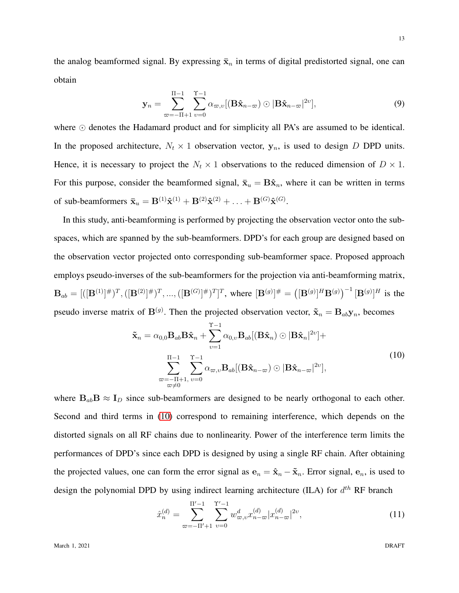the analog beamformed signal. By expressing  $\bar{\mathbf{x}}_n$  in terms of digital predistorted signal, one can obtain

$$
\mathbf{y}_n = \sum_{\varpi=-\Pi+1}^{\Pi-1} \sum_{v=0}^{\Upsilon-1} \alpha_{\varpi,v} [(\mathbf{B}\hat{\mathbf{x}}_{n-\varpi}) \odot |\mathbf{B}\hat{\mathbf{x}}_{n-\varpi}|^{2v}], \tag{9}
$$

where ⊙ denotes the Hadamard product and for simplicity all PA's are assumed to be identical. In the proposed architecture,  $N_t \times 1$  observation vector,  $y_n$ , is used to design D DPD units. Hence, it is necessary to project the  $N_t \times 1$  observations to the reduced dimension of  $D \times 1$ . For this purpose, consider the beamformed signal,  $\bar{\mathbf{x}}_u = \mathbf{B}\hat{\mathbf{x}}_n$ , where it can be written in terms of sub-beamformers  $\bar{\mathbf{x}}_u = \mathbf{B}^{(1)}\hat{\mathbf{x}}^{(1)} + \mathbf{B}^{(2)}\hat{\mathbf{x}}^{(2)} + \ldots + \mathbf{B}^{(G)}\hat{\mathbf{x}}^{(G)}$ .

In this study, anti-beamforming is performed by projecting the observation vector onto the subspaces, which are spanned by the sub-beamformers. DPD's for each group are designed based on the observation vector projected onto corresponding sub-beamformer space. Proposed approach employs pseudo-inverses of the sub-beamformers for the projection via anti-beamforming matrix,  $\mathbf{B}_{ab} = [(\mathbf{B}^{(1)}]^{\#})^T, ([\mathbf{B}^{(2)}]^{\#})^T, ..., ([\mathbf{B}^{(G)}]^{\#})^T]^T$ , where  $[\mathbf{B}^{(g)}]^{\#} = ([\mathbf{B}^{(g)}]^H \mathbf{B}^{(g)})^{-1} [\mathbf{B}^{(g)}]^H$  is the pseudo inverse matrix of  $B^{(g)}$ . Then the projected observation vector,  $\tilde{\mathbf{x}}_n = \mathbf{B}_{ab} \mathbf{y}_n$ , becomes

$$
\tilde{\mathbf{x}}_n = \alpha_{0,0} \mathbf{B}_{ab} \mathbf{B} \hat{\mathbf{x}}_n + \sum_{v=1}^{\Upsilon-1} \alpha_{0,v} \mathbf{B}_{ab} [(\mathbf{B} \hat{\mathbf{x}}_n) \odot |\mathbf{B} \hat{\mathbf{x}}_n|^{2v}] +
$$
\n
$$
\sum_{\substack{\varpi=-\Pi+1, \ \upsilon=0}}^{\Pi-1} \sum_{v=0}^{\Upsilon-1} \alpha_{\varpi,v} \mathbf{B}_{ab} [(\mathbf{B} \hat{\mathbf{x}}_{n-\varpi}) \odot |\mathbf{B} \hat{\mathbf{x}}_{n-\varpi}|^{2v}],
$$
\n(10)

<span id="page-12-0"></span>where  $B_{ab}B \approx I_D$  since sub-beamformers are designed to be nearly orthogonal to each other. Second and third terms in [\(10\)](#page-12-0) correspond to remaining interference, which depends on the distorted signals on all RF chains due to nonlinearity. Power of the interference term limits the performances of DPD's since each DPD is designed by using a single RF chain. After obtaining the projected values, one can form the error signal as  $e_n = \hat{x}_n - \tilde{x}_n$ . Error signal,  $e_n$ , is used to design the polynomial DPD by using indirect learning architecture (ILA) for  $d^{th}$  RF branch

$$
\hat{x}_n^{(d)} = \sum_{\varpi=-\Pi'+1}^{\Pi'-1} \sum_{v=0}^{\Upsilon'-1} w_{\varpi,v}^d x_{n-\varpi}^{(d)} |x_{n-\varpi}^{(d)}|^{2v},\tag{11}
$$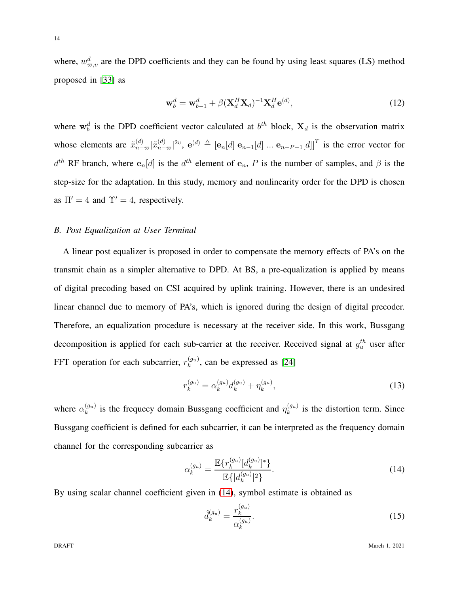where,  $w_{\varpi,\upsilon}^d$  are the DPD coefficients and they can be found by using least squares (LS) method proposed in [\[33\]](#page-29-7) as

$$
\mathbf{w}_b^d = \mathbf{w}_{b-1}^d + \beta (\mathbf{X}_d^H \mathbf{X}_d)^{-1} \mathbf{X}_d^H \mathbf{e}^{(d)},
$$
\n(12)

where  $w_b^d$  is the DPD coefficient vector calculated at  $b^{th}$  block,  $X_d$  is the observation matrix whose elements are  $\tilde{x}_{n-\varpi}^{(d)}|\tilde{x}_{n-\varpi}^{(d)}|^{2\nu}$ ,  $e^{(d)} \triangleq [e_n[d] e_{n-1}[d] ... e_{n-P+1}[d]]^T$  is the error vector for  $d^{th}$  RF branch, where  $e_n[d]$  is the  $d^{th}$  element of  $e_n$ , P is the number of samples, and  $\beta$  is the step-size for the adaptation. In this study, memory and nonlinearity order for the DPD is chosen as  $\Pi' = 4$  and  $\Upsilon' = 4$ , respectively.

## *B. Post Equalization at User Terminal*

A linear post equalizer is proposed in order to compensate the memory effects of PA's on the transmit chain as a simpler alternative to DPD. At BS, a pre-equalization is applied by means of digital precoding based on CSI acquired by uplink training. However, there is an undesired linear channel due to memory of PA's, which is ignored during the design of digital precoder. Therefore, an equalization procedure is necessary at the receiver side. In this work, Bussgang decomposition is applied for each sub-carrier at the receiver. Received signal at  $g_u^{th}$  user after FFT operation for each subcarrier,  $r_k^{(g_u)}$  $\binom{[g_u]}{k}$ , can be expressed as [\[24\]](#page-29-11)

$$
r_k^{(g_u)} = \alpha_k^{(g_u)} d_k^{(g_u)} + \eta_k^{(g_u)},\tag{13}
$$

where  $\alpha_k^{(g_u)}$  $\binom{g_u}{k}$  is the frequecy domain Bussgang coefficient and  $\eta_k^{(g_u)}$  $\kappa_k^{(g_u)}$  is the distortion term. Since Bussgang coefficient is defined for each subcarrier, it can be interpreted as the frequency domain channel for the corresponding subcarrier as

<span id="page-13-0"></span>
$$
\alpha_k^{(g_u)} = \frac{\mathbb{E}\{r_k^{(g_u)}[d_k^{(g_u)}]^*\}}{\mathbb{E}\{|d_k^{(g_u)}|^2\}}.
$$
\n(14)

By using scalar channel coefficient given in [\(14\)](#page-13-0), symbol estimate is obtained as

$$
\hat{d}_k^{(g_u)} = \frac{r_k^{(g_u)}}{\alpha_k^{(g_u)}}.
$$
\n(15)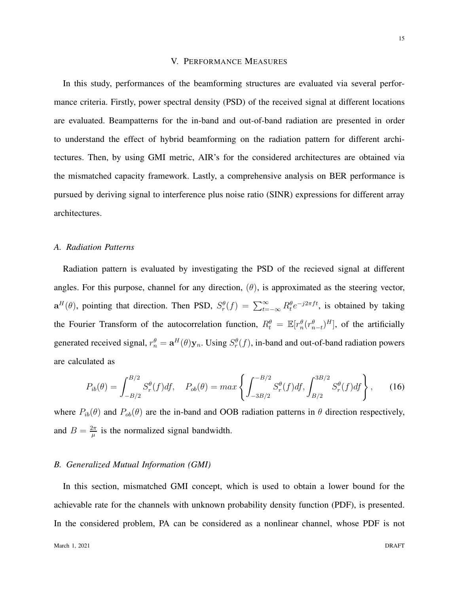#### V. PERFORMANCE MEASURES

<span id="page-14-0"></span>In this study, performances of the beamforming structures are evaluated via several performance criteria. Firstly, power spectral density (PSD) of the received signal at different locations are evaluated. Beampatterns for the in-band and out-of-band radiation are presented in order to understand the effect of hybrid beamforming on the radiation pattern for different architectures. Then, by using GMI metric, AIR's for the considered architectures are obtained via the mismatched capacity framework. Lastly, a comprehensive analysis on BER performance is pursued by deriving signal to interference plus noise ratio (SINR) expressions for different array architectures.

## *A. Radiation Patterns*

Radiation pattern is evaluated by investigating the PSD of the recieved signal at different angles. For this purpose, channel for any direction,  $(\theta)$ , is approximated as the steering vector,  $\mathbf{a}^H(\theta)$ , pointing that direction. Then PSD,  $S_r^{\theta}(f) = \sum_{t=-\infty}^{\infty} R_t^{\theta} e^{-j2\pi ft}$ , is obtained by taking the Fourier Transform of the autocorrelation function,  $R_t^{\theta} = \mathbb{E}[r_n^{\theta}(r_{n-t}^{\theta})^H]$ , of the artificially generated received signal,  $r_n^{\theta} = \mathbf{a}^H(\theta) \mathbf{y}_n$ . Using  $S_r^{\theta}(f)$ , in-band and out-of-band radiation powers are calculated as

$$
P_{ib}(\theta) = \int_{-B/2}^{B/2} S_r^{\theta}(f) df, \quad P_{ob}(\theta) = \max \left\{ \int_{-3B/2}^{-B/2} S_r^{\theta}(f) df, \int_{B/2}^{3B/2} S_r^{\theta}(f) df \right\}, \tag{16}
$$

where  $P_{ib}(\theta)$  and  $P_{ob}(\theta)$  are the in-band and OOB radiation patterns in  $\theta$  direction respectively, and  $B = \frac{2\pi}{\mu}$  $\frac{2\pi}{\mu}$  is the normalized signal bandwidth.

# *B. Generalized Mutual Information (GMI)*

In this section, mismatched GMI concept, which is used to obtain a lower bound for the achievable rate for the channels with unknown probability density function (PDF), is presented. In the considered problem, PA can be considered as a nonlinear channel, whose PDF is not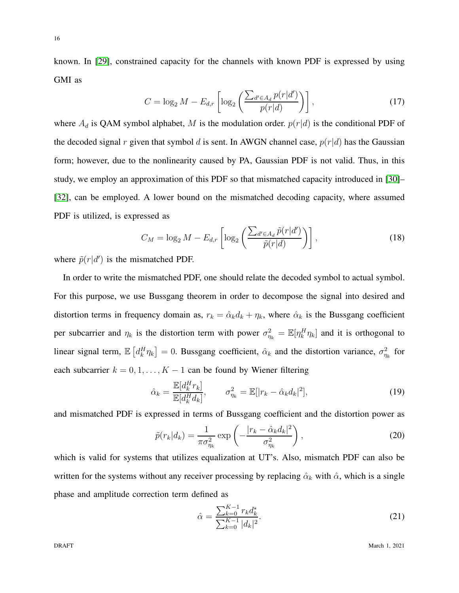known. In [\[29\]](#page-29-4), constrained capacity for the channels with known PDF is expressed by using GMI as

$$
C = \log_2 M - E_{d,r} \left[ \log_2 \left( \frac{\sum_{d' \in A_d} p(r|d')}{p(r|d)} \right) \right],\tag{17}
$$

where  $A_d$  is QAM symbol alphabet, M is the modulation order.  $p(r|d)$  is the conditional PDF of the decoded signal r given that symbol d is sent. In AWGN channel case,  $p(r|d)$  has the Gaussian form; however, due to the nonlinearity caused by PA, Gaussian PDF is not valid. Thus, in this study, we employ an approximation of this PDF so that mismatched capacity introduced in [\[30\]](#page-29-12)– [\[32\]](#page-29-5), can be employed. A lower bound on the mismatched decoding capacity, where assumed PDF is utilized, is expressed as

<span id="page-15-2"></span>
$$
C_M = \log_2 M - E_{d,r} \left[ \log_2 \left( \frac{\sum_{d' \in A_d} \tilde{p}(r|d')}{\tilde{p}(r|d)} \right) \right],\tag{18}
$$

where  $\tilde{p}(r|d')$  is the mismatched PDF.

In order to write the mismatched PDF, one should relate the decoded symbol to actual symbol. For this purpose, we use Bussgang theorem in order to decompose the signal into desired and distortion terms in frequency domain as,  $r_k = \hat{\alpha}_k d_k + \eta_k$ , where  $\hat{\alpha}_k$  is the Bussgang coefficient per subcarrier and  $\eta_k$  is the distortion term with power  $\sigma_{\eta_k}^2 = \mathbb{E}[\eta_k^H \eta_k]$  and it is orthogonal to linear signal term,  $\mathbb{E}\left[d_k^H\eta_k\right]=0$ . Bussgang coefficient,  $\hat{\alpha}_k$  and the distortion variance,  $\sigma_{\eta_k}^2$  for each subcarrier  $k = 0, 1, \ldots, K - 1$  can be found by Wiener filtering

<span id="page-15-3"></span>
$$
\hat{\alpha}_k = \frac{\mathbb{E}[d_k^H r_k]}{\mathbb{E}[d_k^H d_k]}, \qquad \sigma_{\eta_k}^2 = \mathbb{E}[|r_k - \hat{\alpha}_k d_k|^2], \qquad (19)
$$

and mismatched PDF is expressed in terms of Bussgang coefficient and the distortion power as

<span id="page-15-1"></span>
$$
\tilde{p}(r_k|d_k) = \frac{1}{\pi \sigma_{\eta_k}^2} \exp\left(-\frac{|r_k - \hat{\alpha}_k d_k|^2}{\sigma_{\eta_k}^2}\right),\tag{20}
$$

which is valid for systems that utilizes equalization at UT's. Also, mismatch PDF can also be written for the systems without any receiver processing by replacing  $\hat{\alpha}_k$  with  $\hat{\alpha}$ , which is a single phase and amplitude correction term defined as

<span id="page-15-0"></span>
$$
\hat{\alpha} = \frac{\sum_{k=0}^{K-1} r_k d_k^*}{\sum_{k=0}^{K-1} |d_k|^2}.
$$
\n(21)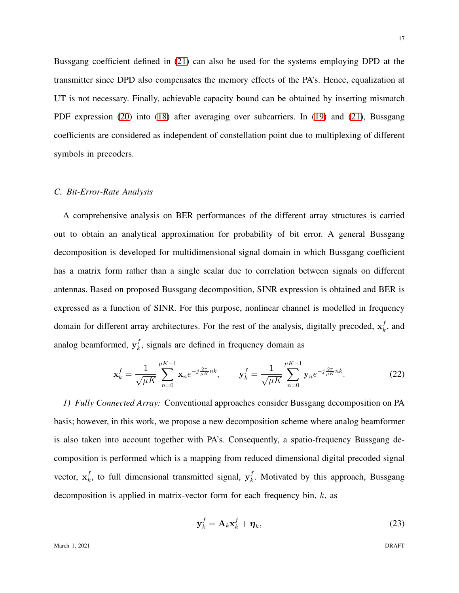Bussgang coefficient defined in [\(21\)](#page-15-0) can also be used for the systems employing DPD at the transmitter since DPD also compensates the memory effects of the PA's. Hence, equalization at UT is not necessary. Finally, achievable capacity bound can be obtained by inserting mismatch PDF expression [\(20\)](#page-15-1) into [\(18\)](#page-15-2) after averaging over subcarriers. In [\(19\)](#page-15-3) and [\(21\)](#page-15-0), Bussgang coefficients are considered as independent of constellation point due to multiplexing of different symbols in precoders.

#### *C. Bit-Error-Rate Analysis*

A comprehensive analysis on BER performances of the different array structures is carried out to obtain an analytical approximation for probability of bit error. A general Bussgang decomposition is developed for multidimensional signal domain in which Bussgang coefficient has a matrix form rather than a single scalar due to correlation between signals on different antennas. Based on proposed Bussgang decomposition, SINR expression is obtained and BER is expressed as a function of SINR. For this purpose, nonlinear channel is modelled in frequency domain for different array architectures. For the rest of the analysis, digitally precoded,  $x<sub>k</sub><sup>f</sup>$  $k^J$ , and analog beamformed,  $y_k^f$  $k<sub>k</sub>$ , signals are defined in frequency domain as

$$
\mathbf{x}_{k}^{f} = \frac{1}{\sqrt{\mu K}} \sum_{n=0}^{\mu K - 1} \mathbf{x}_{n} e^{-j\frac{2\pi}{\mu K}nk}, \qquad \mathbf{y}_{k}^{f} = \frac{1}{\sqrt{\mu K}} \sum_{n=0}^{\mu K - 1} \mathbf{y}_{n} e^{-j\frac{2\pi}{\mu K}nk}.
$$
 (22)

*1) Fully Connected Array:* Conventional approaches consider Bussgang decomposition on PA basis; however, in this work, we propose a new decomposition scheme where analog beamformer is also taken into account together with PA's. Consequently, a spatio-frequency Bussgang decomposition is performed which is a mapping from reduced dimensional digital precoded signal vector,  $\mathbf{x}_k^f$  $k$ , to full dimensional transmitted signal,  $y_k^f$  $k<sub>k</sub>$ . Motivated by this approach, Bussgang decomposition is applied in matrix-vector form for each frequency bin,  $k$ , as

<span id="page-16-0"></span>
$$
\mathbf{y}_k^f = \mathbf{A}_k \mathbf{x}_k^f + \boldsymbol{\eta}_k,\tag{23}
$$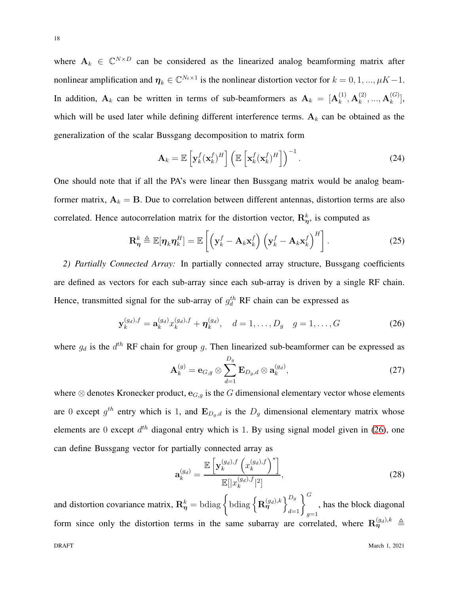where  $A_k \in \mathbb{C}^{N \times D}$  can be considered as the linearized analog beamforming matrix after nonlinear amplification and  $\boldsymbol{\eta}_k \in \mathbb{C}^{N_t \times 1}$  is the nonlinear distortion vector for  $k = 0, 1, ..., \mu K - 1$ . In addition,  $A_k$  can be written in terms of sub-beamformers as  $A_k = [A_k^{(1)}]$  $_{k}^{\left( 1\right) },\mathbf{A}_{k}^{\left( 2\right) }$  $\mathbf{A}^{(2)}_k,...,\mathbf{A}^{(G)}_k$  $\binom{(\mathbf{G})}{k},$ which will be used later while defining different interference terms.  $A_k$  can be obtained as the generalization of the scalar Bussgang decomposition to matrix form

$$
\mathbf{A}_k = \mathbb{E}\left[\mathbf{y}_k^f(\mathbf{x}_k^f)^H\right] \left(\mathbb{E}\left[\mathbf{x}_k^f(\mathbf{x}_k^f)^H\right]\right)^{-1}.\tag{24}
$$

One should note that if all the PA's were linear then Bussgang matrix would be analog beamformer matrix,  $A_k = B$ . Due to correlation between different antennas, distortion terms are also correlated. Hence autocorrelation matrix for the distortion vector,  $\mathbf{R}_{\eta}^{k}$ , is computed as

$$
\mathbf{R}_{\eta}^{k} \triangleq \mathbb{E}[\eta_{k}\eta_{k}^{H}] = \mathbb{E}\left[\left(\mathbf{y}_{k}^{f} - \mathbf{A}_{k}\mathbf{x}_{k}^{f}\right)\left(\mathbf{y}_{k}^{f} - \mathbf{A}_{k}\mathbf{x}_{k}^{f}\right)^{H}\right].
$$
 (25)

*2) Partially Connected Array:* In partially connected array structure, Bussgang coefficients are defined as vectors for each sub-array since each sub-array is driven by a single RF chain. Hence, transmitted signal for the sub-array of  $g_d^{th}$  RF chain can be expressed as

<span id="page-17-0"></span>
$$
\mathbf{y}_{k}^{(g_d),f} = \mathbf{a}_{k}^{(g_d)} x_{k}^{(g_d),f} + \eta_{k}^{(g_d)}, \quad d = 1,\ldots,D_g \quad g = 1,\ldots,G
$$
 (26)

where  $g_d$  is the  $d^{th}$  RF chain for group g. Then linearized sub-beamformer can be expressed as

$$
\mathbf{A}_k^{(g)} = \mathbf{e}_{G,g} \otimes \sum_{d=1}^{D_g} \mathbf{E}_{D_g,d} \otimes \mathbf{a}_k^{(g_d)}, \qquad (27)
$$

where  $\otimes$  denotes Kronecker product,  $e_{G,g}$  is the G dimensional elementary vector whose elements are 0 except  $g^{th}$  entry which is 1, and  $\mathbf{E}_{D_g,d}$  is the  $D_g$  dimensional elementary matrix whose elements are 0 except  $d^{th}$  diagonal entry which is 1. By using signal model given in [\(26\)](#page-17-0), one can define Bussgang vector for partially connected array as

$$
\mathbf{a}_{k}^{(g_d)} = \frac{\mathbb{E}\left[\mathbf{y}_{k}^{(g_d),f}\left(x_{k}^{(g_d),f}\right)^{*}\right]}{\mathbb{E}[[x_{k}^{(g_d),f}]^{2}]},
$$
\n(28)

and distortion covariance matrix,  $\mathbf{R}_{\eta}^{k} = \text{bdiag}\left\{\text{bdiag}\left\{\mathbf{R}_{\eta}^{(g_{d}),k}\right\}_{d=1}^{D_{g}}\right\}_{g=1}^{G}$ , has the block diagonal form since only the distortion terms in the same subarray are correlated, where  $\mathbf{R}_{\eta}^{(g_d),k} \triangleq$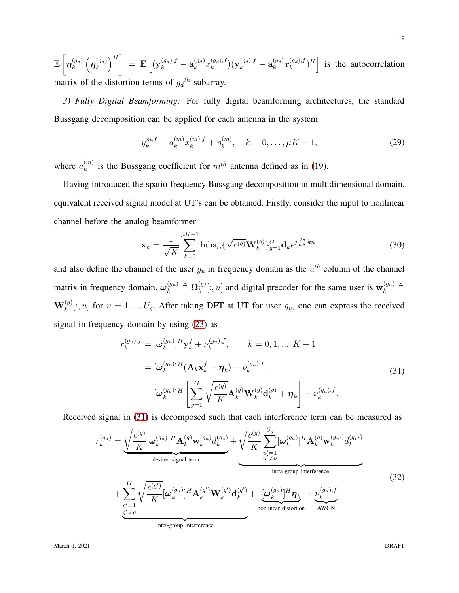$$
\mathbb{E}\left[\boldsymbol{\eta}_k^{(g_d)}\left(\boldsymbol{\eta}_k^{(g_d)}\right)^H\right] = \mathbb{E}\left[(\mathbf{y}_k^{(g_d),f} - \mathbf{a}_k^{(g_d)}x_k^{(g_d),f})(\mathbf{y}_k^{(g_d),f} - \mathbf{a}_k^{(g_d)}x_k^{(g_d),f})^H\right]
$$
 is the autocorrelation matrix of the distortion terms of  $g_d^{th}$  subarray.

*3) Fully Digital Beamforming:* For fully digital beamforming architectures, the standard Bussgang decomposition can be applied for each antenna in the system

$$
y_k^{m,f} = a_k^{(m)} x_k^{(m),f} + \eta_k^{(m)}, \quad k = 0, \dots, \mu K - 1,
$$
\n(29)

where  $a_k^{(m)}$  $\binom{m}{k}$  is the Bussgang coefficient for  $m^{th}$  antenna defined as in [\(19\)](#page-15-3).

Having introduced the spatio-frequency Bussgang decomposition in multidimensional domain, equivalent received signal model at UT's can be obtained. Firstly, consider the input to nonlinear channel before the analog beamformer

$$
\mathbf{x}_n = \frac{1}{\sqrt{K}} \sum_{k=0}^{\mu K - 1} \text{bdiag}\{\sqrt{c^{(g)}} \mathbf{W}_k^{(g)}\}_{g=1}^G \mathbf{d}_k e^{j\frac{2\pi}{\mu K}kn},
$$
(30)

and also define the channel of the user  $g_u$  in frequency domain as the  $u^{th}$  column of the channel matrix in frequency domain,  $\boldsymbol{\omega}_k^{(g_u)} \triangleq \boldsymbol{\Omega}_k^{(g)}$  $\mathbf{R}_{k}^{(g)}[:, u]$  and digital precoder for the same user is  $\mathbf{w}_{k}^{(g_u)} \triangleq$  $\mathbf{W}_k^{(g)}[:, u]$  for  $u = 1, ..., U_g$ . After taking DFT at UT for user  $g_u$ , one can express the received signal in frequency domain by using [\(23\)](#page-16-0) as

$$
r_k^{(g_u),f} = [\omega_k^{(g_u)}]^H \mathbf{y}_k^f + \nu_k^{(g_u),f}, \qquad k = 0, 1, ..., K - 1
$$
  
\n
$$
= [\omega_k^{(g_u)}]^H (\mathbf{A}_k \mathbf{x}_k^f + \boldsymbol{\eta}_k) + \nu_k^{(g_u),f},
$$
  
\n
$$
= [\omega_k^{(g_u)}]^H \left[ \sum_{g=1}^G \sqrt{\frac{c_g}{K}} \mathbf{A}_k^{(g)} \mathbf{W}_k^{(g)} \mathbf{d}_k^{(g)} + \boldsymbol{\eta}_k \right] + \nu_k^{(g_u),f}.
$$
\n(31)

<span id="page-18-1"></span><span id="page-18-0"></span>Received signal in [\(31\)](#page-18-0) is decomposed such that each interference term can be measured as

$$
r_k^{(g_u)} = \underbrace{\sqrt{\frac{c^{(g)}}{K}} [\omega_k^{(g_u)}]^H \mathbf{A}_k^{(g)} \mathbf{w}_k^{(g_u)} d_k^{(g_u)}}_{\text{desired signal term}} + \underbrace{\sqrt{\frac{c^{(g)}}{K}} \sum_{u'=1}^{U_g} [\omega_k^{(g_u)}]^H \mathbf{A}_k^{(g)} \mathbf{w}_k^{(g_{u'})} d_k^{(g_{u'})}}_{\text{intra-group interference}}
$$
\n
$$
+ \underbrace{\sum_{g'=1}^G \sqrt{\frac{c^{(g')}}{K}} [\omega_k^{(g_u)}]^H \mathbf{A}_k^{(g')} \mathbf{W}_k^{(g')} d_k^{(g')} + [\omega_k^{(g_u)}]^H \mathbf{\eta}_k}_{\text{nonlinear distortion}} + \underbrace{\nu_k^{(g_u),f}}_{\text{AWGN}}.
$$
\n(32)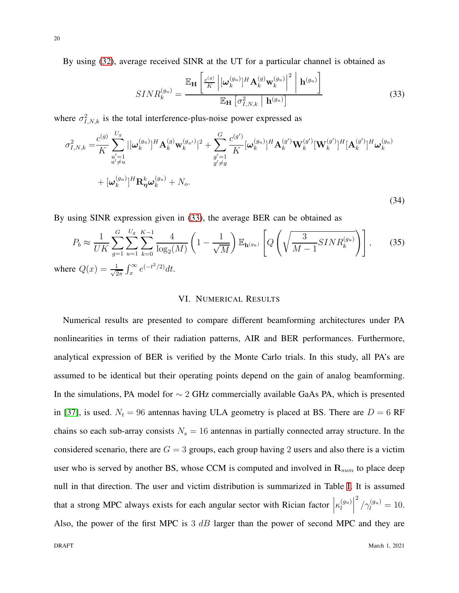By using [\(32\)](#page-18-1), average received SINR at the UT for a particular channel is obtained as

<span id="page-19-1"></span>
$$
SINR_k^{(g_u)} = \frac{\mathbb{E}_{\mathbf{H}}\left[\frac{c^{(g)}}{K}\left|[\boldsymbol{\omega}_k^{(g_u)}]^H \mathbf{A}_k^{(g)} \mathbf{w}_k^{(g_u)}\right|^2 \middle| \mathbf{h}^{(g_u)}\right]}{\mathbb{E}_{\mathbf{H}}\left[\sigma_{I,N,k}^2 \middle| \mathbf{h}^{(g_u)}\right]}
$$
(33)

where  $\sigma_{I,N,k}^2$  is the total interference-plus-noise power expressed as

$$
\sigma_{I,N,k}^{2} = \frac{c^{(g)}}{K} \sum_{\substack{u'=1 \ u'\neq u}}^{U_g} |[\omega_k^{(g_u)}]^H \mathbf{A}_k^{(g)} \mathbf{w}_k^{(g_{u'})}|^2 + \sum_{\substack{g'=1 \ g'\neq g}}^{G} \frac{c^{(g')}}{K} [\omega_k^{(g_u)}]^H \mathbf{A}_k^{(g')} \mathbf{W}_k^{(g')} [\mathbf{W}_k^{(g')}]^H [\mathbf{A}_k^{(g')}]^H \omega_k^{(g_u)}
$$
  
+ 
$$
[\omega_k^{(g_u)}]^H \mathbf{R}_\eta^k \omega_k^{(g_u)} + N_o.
$$

By using SINR expression given in [\(33\)](#page-19-1), the average BER can be obtained as

$$
P_b \approx \frac{1}{UK} \sum_{g=1}^{G} \sum_{u=1}^{U_g} \sum_{k=0}^{K-1} \frac{4}{\log_2(M)} \left( 1 - \frac{1}{\sqrt{M}} \right) \mathbb{E}_{\mathbf{h}^{(gu)}} \left[ Q \left( \sqrt{\frac{3}{M-1} \, SIMR_k^{(gu)}} \right) \right],\tag{35}
$$
  
re  $Q(x) = \frac{1}{\sqrt{2\pi}} \int_x^{\infty} e^{(-t^2/2)} dt.$ 

<span id="page-19-0"></span> $w$  here  $2\pi$ x

#### VI. NUMERICAL RESULTS

Numerical results are presented to compare different beamforming architectures under PA nonlinearities in terms of their radiation patterns, AIR and BER performances. Furthermore, analytical expression of BER is verified by the Monte Carlo trials. In this study, all PA's are assumed to be identical but their operating points depend on the gain of analog beamforming. In the simulations, PA model for  $\sim$  2 GHz commercially available GaAs PA, which is presented in [\[37\]](#page-29-13), is used.  $N_t = 96$  antennas having ULA geometry is placed at BS. There are  $D = 6$  RF chains so each sub-array consists  $N_s = 16$  antennas in partially connected array structure. In the considered scenario, there are  $G = 3$  groups, each group having 2 users and also there is a victim user who is served by another BS, whose CCM is computed and involved in  $\mathbf{R}_{sum}$  to place deep null in that direction. The user and victim distribution is summarized in Table [I.](#page-20-0) It is assumed that a strong MPC always exists for each angular sector with Rician factor  $\Big|$  $\kappa_l^{(g_u)}$ l  $^{2}/\gamma_{l}^{(g_{u})}=10.$ Also, the power of the first MPC is  $3 dB$  larger than the power of second MPC and they are

(34)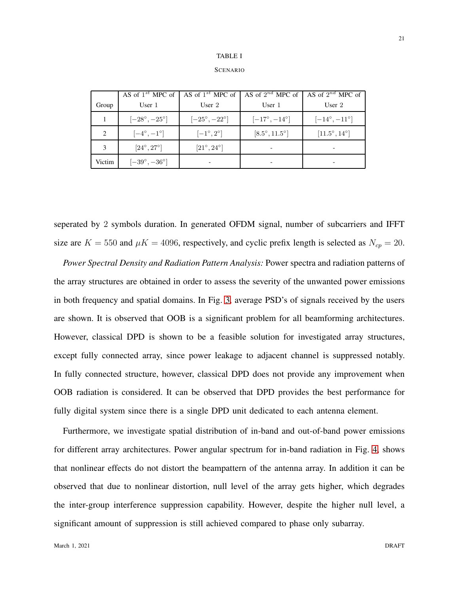| v<br>۰. |  |
|---------|--|
|         |  |

|--|--|

<span id="page-20-0"></span>

|        | $\overline{AS}$ of $1^{st}$ MPC of | $\overline{AS}$ of $1^{st}$ MPC of | AS of $2^{nd}$ MPC of         | AS of $2^{nd}$ MPC of        |
|--------|------------------------------------|------------------------------------|-------------------------------|------------------------------|
| Group  | User $1$                           | User $2$                           | User 1                        | User $2$                     |
|        | $[-28^{\circ}, -25^{\circ}]$       | $[-25^{\circ}, -22^{\circ}]$       | $[-17^{\circ}, -14^{\circ}]$  | $[-14^{\circ}, -11^{\circ}]$ |
| 2      | $[-4^\circ, -1^\circ]$             | $[-1^\circ, 2^\circ]$              | $[8.5^{\circ}, 11.5^{\circ}]$ | $[11.5^{\circ}, 14^{\circ}]$ |
|        | $[24^{\circ}, 27^{\circ}]$         | $[21^{\circ}, 24^{\circ}]$         |                               |                              |
| Victim | $[-39^{\circ}, -36^{\circ}]$       |                                    |                               |                              |

seperated by 2 symbols duration. In generated OFDM signal, number of subcarriers and IFFT size are  $K = 550$  and  $\mu K = 4096$ , respectively, and cyclic prefix length is selected as  $N_{cp} = 20$ .

*Power Spectral Density and Radiation Pattern Analysis:* Power spectra and radiation patterns of the array structures are obtained in order to assess the severity of the unwanted power emissions in both frequency and spatial domains. In Fig. [3,](#page-21-0) average PSD's of signals received by the users are shown. It is observed that OOB is a significant problem for all beamforming architectures. However, classical DPD is shown to be a feasible solution for investigated array structures, except fully connected array, since power leakage to adjacent channel is suppressed notably. In fully connected structure, however, classical DPD does not provide any improvement when OOB radiation is considered. It can be observed that DPD provides the best performance for fully digital system since there is a single DPD unit dedicated to each antenna element.

Furthermore, we investigate spatial distribution of in-band and out-of-band power emissions for different array architectures. Power angular spectrum for in-band radiation in Fig. [4,](#page-22-0) shows that nonlinear effects do not distort the beampattern of the antenna array. In addition it can be observed that due to nonlinear distortion, null level of the array gets higher, which degrades the inter-group interference suppression capability. However, despite the higher null level, a significant amount of suppression is still achieved compared to phase only subarray.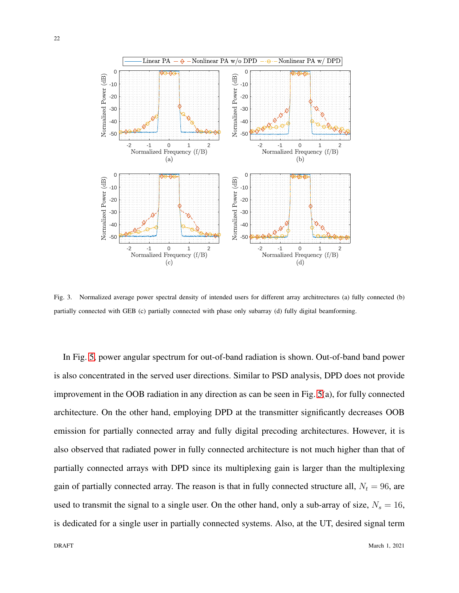

<span id="page-21-0"></span>Fig. 3. Normalized average power spectral density of intended users for different array architrectures (a) fully connected (b) partially connected with GEB (c) partially connected with phase only subarray (d) fully digital beamforming.

In Fig. [5,](#page-23-0) power angular spectrum for out-of-band radiation is shown. Out-of-band band power is also concentrated in the served user directions. Similar to PSD analysis, DPD does not provide improvement in the OOB radiation in any direction as can be seen in Fig. [5\(](#page-23-0)a), for fully connected architecture. On the other hand, employing DPD at the transmitter significantly decreases OOB emission for partially connected array and fully digital precoding architectures. However, it is also observed that radiated power in fully connected architecture is not much higher than that of partially connected arrays with DPD since its multiplexing gain is larger than the multiplexing gain of partially connected array. The reason is that in fully connected structure all,  $N_t = 96$ , are used to transmit the signal to a single user. On the other hand, only a sub-array of size,  $N_s = 16$ , is dedicated for a single user in partially connected systems. Also, at the UT, desired signal term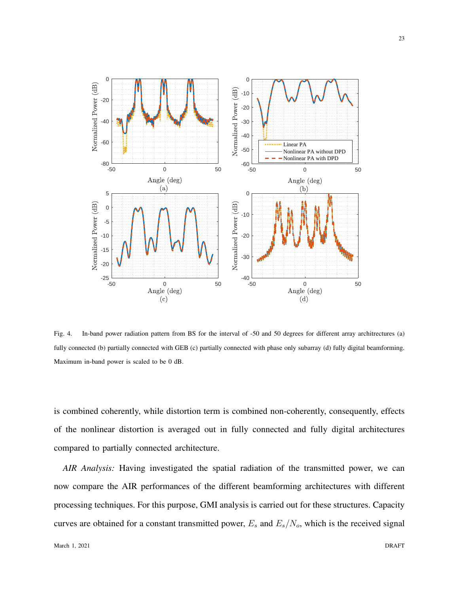

<span id="page-22-0"></span>Fig. 4. In-band power radiation pattern from BS for the interval of -50 and 50 degrees for different array architrectures (a) fully connected (b) partially connected with GEB (c) partially connected with phase only subarray (d) fully digital beamforming. Maximum in-band power is scaled to be 0 dB.

is combined coherently, while distortion term is combined non-coherently, consequently, effects of the nonlinear distortion is averaged out in fully connected and fully digital architectures compared to partially connected architecture.

*AIR Analysis:* Having investigated the spatial radiation of the transmitted power, we can now compare the AIR performances of the different beamforming architectures with different processing techniques. For this purpose, GMI analysis is carried out for these structures. Capacity curves are obtained for a constant transmitted power,  $E_s$  and  $E_s/N_o$ , which is the received signal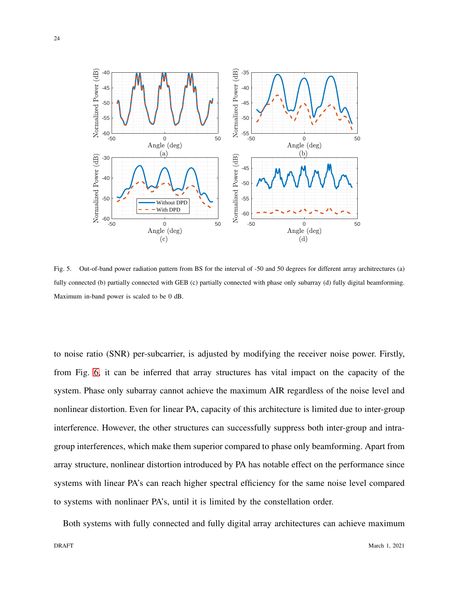

<span id="page-23-0"></span>Fig. 5. Out-of-band power radiation pattern from BS for the interval of -50 and 50 degrees for different array architrectures (a) fully connected (b) partially connected with GEB (c) partially connected with phase only subarray (d) fully digital beamforming. Maximum in-band power is scaled to be 0 dB.

to noise ratio (SNR) per-subcarrier, is adjusted by modifying the receiver noise power. Firstly, from Fig. [6,](#page-24-0) it can be inferred that array structures has vital impact on the capacity of the system. Phase only subarray cannot achieve the maximum AIR regardless of the noise level and nonlinear distortion. Even for linear PA, capacity of this architecture is limited due to inter-group interference. However, the other structures can successfully suppress both inter-group and intragroup interferences, which make them superior compared to phase only beamforming. Apart from array structure, nonlinear distortion introduced by PA has notable effect on the performance since systems with linear PA's can reach higher spectral efficiency for the same noise level compared to systems with nonlinaer PA's, until it is limited by the constellation order.

Both systems with fully connected and fully digital array architectures can achieve maximum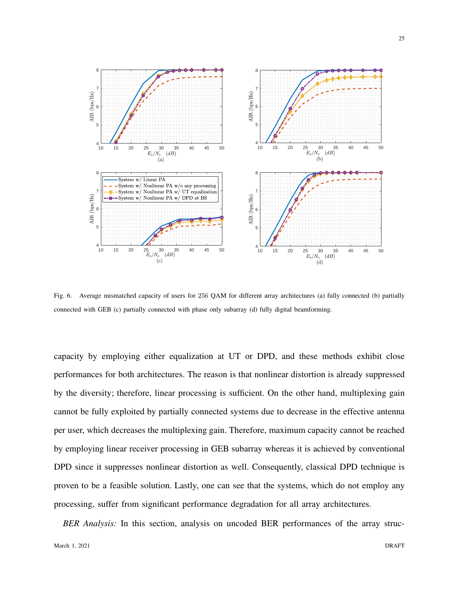

<span id="page-24-0"></span>Fig. 6. Average mismatched capacity of users for 256 QAM for different array architectures (a) fully connected (b) partially connected with GEB (c) partially connected with phase only subarray (d) fully digital beamforming.

capacity by employing either equalization at UT or DPD, and these methods exhibit close performances for both architectures. The reason is that nonlinear distortion is already suppressed by the diversity; therefore, linear processing is sufficient. On the other hand, multiplexing gain cannot be fully exploited by partially connected systems due to decrease in the effective antenna per user, which decreases the multiplexing gain. Therefore, maximum capacity cannot be reached by employing linear receiver processing in GEB subarray whereas it is achieved by conventional DPD since it suppresses nonlinear distortion as well. Consequently, classical DPD technique is proven to be a feasible solution. Lastly, one can see that the systems, which do not employ any processing, suffer from significant performance degradation for all array architectures.

*BER Analysis:* In this section, analysis on uncoded BER performances of the array struc-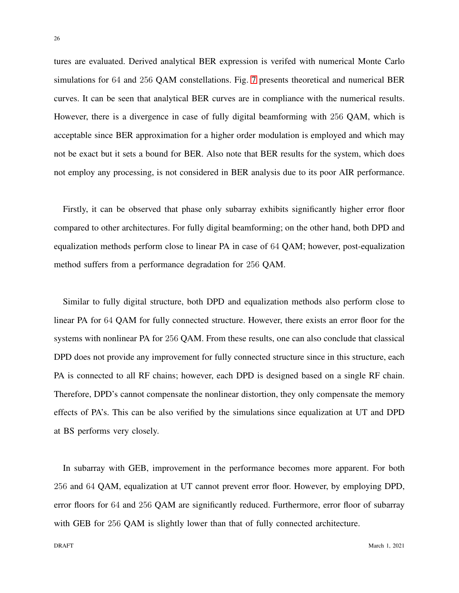tures are evaluated. Derived analytical BER expression is verifed with numerical Monte Carlo simulations for 64 and 256 QAM constellations. Fig. [7](#page-26-1) presents theoretical and numerical BER curves. It can be seen that analytical BER curves are in compliance with the numerical results. However, there is a divergence in case of fully digital beamforming with 256 QAM, which is acceptable since BER approximation for a higher order modulation is employed and which may not be exact but it sets a bound for BER. Also note that BER results for the system, which does not employ any processing, is not considered in BER analysis due to its poor AIR performance.

Firstly, it can be observed that phase only subarray exhibits significantly higher error floor compared to other architectures. For fully digital beamforming; on the other hand, both DPD and equalization methods perform close to linear PA in case of 64 QAM; however, post-equalization method suffers from a performance degradation for 256 QAM.

Similar to fully digital structure, both DPD and equalization methods also perform close to linear PA for 64 QAM for fully connected structure. However, there exists an error floor for the systems with nonlinear PA for 256 QAM. From these results, one can also conclude that classical DPD does not provide any improvement for fully connected structure since in this structure, each PA is connected to all RF chains; however, each DPD is designed based on a single RF chain. Therefore, DPD's cannot compensate the nonlinear distortion, they only compensate the memory effects of PA's. This can be also verified by the simulations since equalization at UT and DPD at BS performs very closely.

In subarray with GEB, improvement in the performance becomes more apparent. For both 256 and 64 QAM, equalization at UT cannot prevent error floor. However, by employing DPD, error floors for 64 and 256 QAM are significantly reduced. Furthermore, error floor of subarray with GEB for 256 OAM is slightly lower than that of fully connected architecture.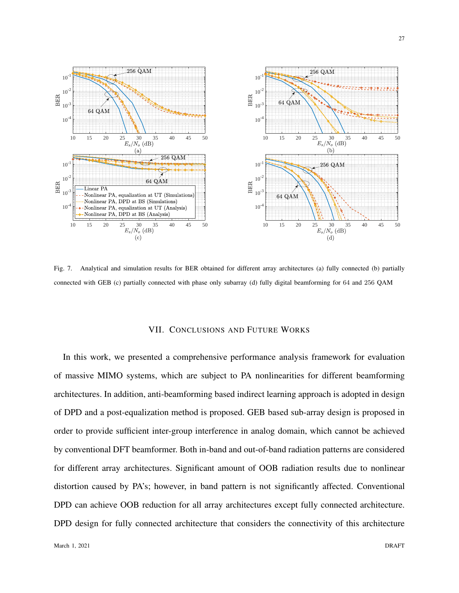

<span id="page-26-1"></span><span id="page-26-0"></span>Fig. 7. Analytical and simulation results for BER obtained for different array architectures (a) fully connected (b) partially connected with GEB (c) partially connected with phase only subarray (d) fully digital beamforming for 64 and 256 QAM

# VII. CONCLUSIONS AND FUTURE WORKS

In this work, we presented a comprehensive performance analysis framework for evaluation of massive MIMO systems, which are subject to PA nonlinearities for different beamforming architectures. In addition, anti-beamforming based indirect learning approach is adopted in design of DPD and a post-equalization method is proposed. GEB based sub-array design is proposed in order to provide sufficient inter-group interference in analog domain, which cannot be achieved by conventional DFT beamformer. Both in-band and out-of-band radiation patterns are considered for different array architectures. Significant amount of OOB radiation results due to nonlinear distortion caused by PA's; however, in band pattern is not significantly affected. Conventional DPD can achieve OOB reduction for all array architectures except fully connected architecture. DPD design for fully connected architecture that considers the connectivity of this architecture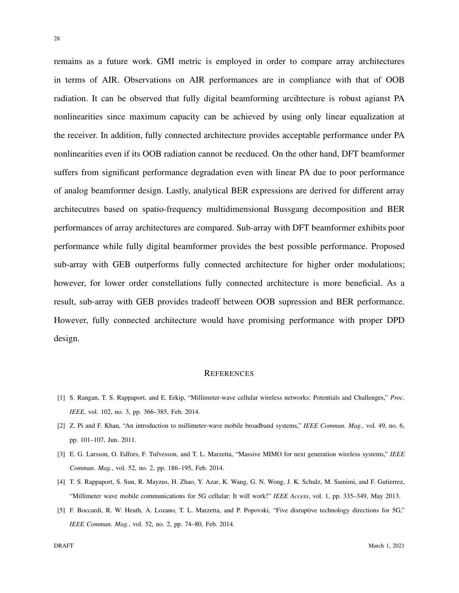remains as a future work. GMI metric is employed in order to compare array architectures in terms of AIR. Observations on AIR performances are in compliance with that of OOB radiation. It can be observed that fully digital beamforming arcihtecture is robust agianst PA nonlinearities since maximum capacity can be achieved by using only linear equalization at the receiver. In addition, fully connected architecture provides acceptable performance under PA nonlinearities even if its OOB radiation cannot be recduced. On the other hand, DFT beamformer suffers from significant performance degradation even with linear PA due to poor performance of analog beamformer design. Lastly, analytical BER expressions are derived for different array architecutres based on spatio-frequency multidimensional Bussgang decomposition and BER performances of array architectures are compared. Sub-array with DFT beamformer exhibits poor performance while fully digital beamformer provides the best possible performance. Proposed sub-array with GEB outperforms fully connected architecture for higher order modulations; however, for lower order constellations fully connected architecture is more beneficial. As a result, sub-array with GEB provides tradeoff between OOB supression and BER performance. However, fully connected architecture would have promising performance with proper DPD design.

#### **REFERENCES**

- <span id="page-27-2"></span><span id="page-27-0"></span>[1] S. Rangan, T. S. Rappaport, and E. Erkip, "Millimeter-wave cellular wireless networks: Potentials and Challenges," *Proc. IEEE*, vol. 102, no. 3, pp. 366–385, Feb. 2014.
- <span id="page-27-3"></span>[2] Z. Pi and F. Khan, "An introduction to millimeter-wave mobile broadband systems," *IEEE Commun. Mag.*, vol. 49, no. 6, pp. 101–107, Jun. 2011.
- <span id="page-27-1"></span>[3] E. G. Larsson, O. Edfors, F. Tufvesson, and T. L. Marzetta, "Massive MIMO for next generation wireless systems," *IEEE Commun. Mag.*, vol. 52, no. 2, pp. 186–195, Feb. 2014.
- <span id="page-27-4"></span>[4] T. S. Rappaport, S. Sun, R. Mayzus, H. Zhao, Y. Azar, K. Wang, G. N. Wong, J. K. Schulz, M. Samimi, and F. Gutierrez, "Millimeter wave mobile communications for 5G cellular: It will work!" *IEEE Access*, vol. 1, pp. 335–349, May 2013.
- [5] F. Boccardi, R. W. Heath, A. Lozano, T. L. Marzetta, and P. Popovski, "Five disruptive technology directions for 5G," *IEEE Commun. Mag.*, vol. 52, no. 2, pp. 74–80, Feb. 2014.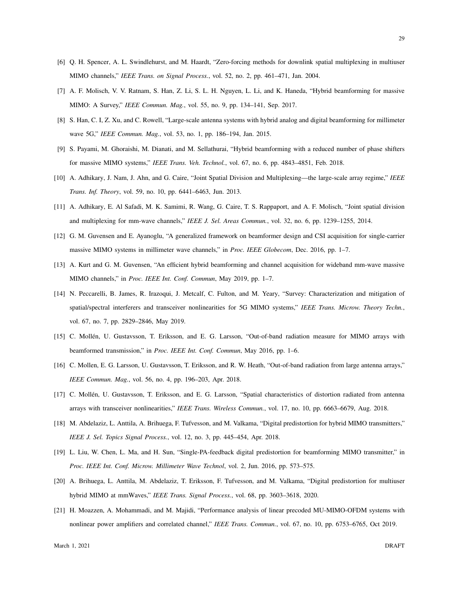- <span id="page-28-0"></span>[6] Q. H. Spencer, A. L. Swindlehurst, and M. Haardt, "Zero-forcing methods for downlink spatial multiplexing in multiuser MIMO channels," *IEEE Trans. on Signal Process.*, vol. 52, no. 2, pp. 461–471, Jan. 2004.
- <span id="page-28-1"></span>[7] A. F. Molisch, V. V. Ratnam, S. Han, Z. Li, S. L. H. Nguyen, L. Li, and K. Haneda, "Hybrid beamforming for massive MIMO: A Survey," *IEEE Commun. Mag.*, vol. 55, no. 9, pp. 134–141, Sep. 2017.
- <span id="page-28-2"></span>[8] S. Han, C. I, Z. Xu, and C. Rowell, "Large-scale antenna systems with hybrid analog and digital beamforming for millimeter wave 5G," *IEEE Commun. Mag.*, vol. 53, no. 1, pp. 186–194, Jan. 2015.
- <span id="page-28-3"></span>[9] S. Payami, M. Ghoraishi, M. Dianati, and M. Sellathurai, "Hybrid beamforming with a reduced number of phase shifters for massive MIMO systems," *IEEE Trans. Veh. Technol.*, vol. 67, no. 6, pp. 4843–4851, Feb. 2018.
- <span id="page-28-4"></span>[10] A. Adhikary, J. Nam, J. Ahn, and G. Caire, "Joint Spatial Division and Multiplexing—the large-scale array regime," *IEEE Trans. Inf. Theory*, vol. 59, no. 10, pp. 6441–6463, Jun. 2013.
- <span id="page-28-5"></span>[11] A. Adhikary, E. Al Safadi, M. K. Samimi, R. Wang, G. Caire, T. S. Rappaport, and A. F. Molisch, "Joint spatial division and multiplexing for mm-wave channels," *IEEE J. Sel. Areas Commun.*, vol. 32, no. 6, pp. 1239–1255, 2014.
- <span id="page-28-6"></span>[12] G. M. Guvensen and E. Ayanoglu, "A generalized framework on beamformer design and CSI acquisition for single-carrier massive MIMO systems in millimeter wave channels," in *Proc. IEEE Globecom*, Dec. 2016, pp. 1–7.
- <span id="page-28-7"></span>[13] A. Kurt and G. M. Guvensen, "An efficient hybrid beamforming and channel acquisition for wideband mm-wave massive MIMO channels," in *Proc. IEEE Int. Conf. Commun*, May 2019, pp. 1–7.
- [14] N. Peccarelli, B. James, R. Irazoqui, J. Metcalf, C. Fulton, and M. Yeary, "Survey: Characterization and mitigation of spatial/spectral interferers and transceiver nonlinearities for 5G MIMO systems," *IEEE Trans. Microw. Theory Techn.*, vol. 67, no. 7, pp. 2829–2846, May 2019.
- <span id="page-28-8"></span>[15] C. Mollén, U. Gustavsson, T. Eriksson, and E. G. Larsson, "Out-of-band radiation measure for MIMO arrays with beamformed transmission," in *Proc. IEEE Int. Conf. Commun*, May 2016, pp. 1–6.
- <span id="page-28-9"></span>[16] C. Mollen, E. G. Larsson, U. Gustavsson, T. Eriksson, and R. W. Heath, "Out-of-band radiation from large antenna arrays," *IEEE Commun. Mag.*, vol. 56, no. 4, pp. 196–203, Apr. 2018.
- <span id="page-28-10"></span>[17] C. Mollén, U. Gustavsson, T. Eriksson, and E. G. Larsson, "Spatial characteristics of distortion radiated from antenna arrays with transceiver nonlinearities," *IEEE Trans. Wireless Commun.*, vol. 17, no. 10, pp. 6663–6679, Aug. 2018.
- [18] M. Abdelaziz, L. Anttila, A. Brihuega, F. Tufvesson, and M. Valkama, "Digital predistortion for hybrid MIMO transmitters," *IEEE J. Sel. Topics Signal Process.*, vol. 12, no. 3, pp. 445–454, Apr. 2018.
- <span id="page-28-11"></span>[19] L. Liu, W. Chen, L. Ma, and H. Sun, "Single-PA-feedback digital predistortion for beamforming MIMO transmitter," in *Proc. IEEE Int. Conf. Microw. Millimeter Wave Technol*, vol. 2, Jun. 2016, pp. 573–575.
- <span id="page-28-12"></span>[20] A. Brihuega, L. Anttila, M. Abdelaziz, T. Eriksson, F. Tufvesson, and M. Valkama, "Digital predistortion for multiuser hybrid MIMO at mmWaves," *IEEE Trans. Signal Process.*, vol. 68, pp. 3603–3618, 2020.
- [21] H. Moazzen, A. Mohammadi, and M. Majidi, "Performance analysis of linear precoded MU-MIMO-OFDM systems with nonlinear power amplifiers and correlated channel," *IEEE Trans. Commun.*, vol. 67, no. 10, pp. 6753–6765, Oct 2019.